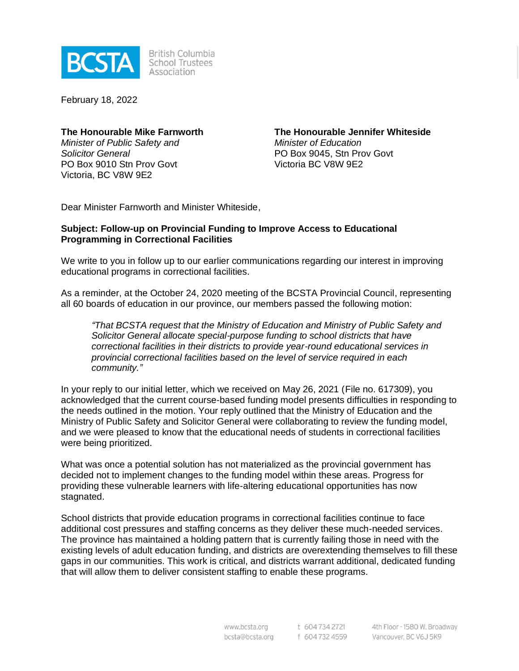

**British Columbia School Trustees** Association

February 18, 2022

## **The Honourable Mike Farnworth**

*Minister of Public Safety and Solicitor General* PO Box 9010 Stn Prov Govt Victoria, BC V8W 9E2

**The Honourable Jennifer Whiteside** *Minister of Education* PO Box 9045, Stn Prov Govt Victoria BC V8W 9E2

Dear Minister Farnworth and Minister Whiteside,

## **Subject: Follow-up on Provincial Funding to Improve Access to Educational Programming in Correctional Facilities**

We write to you in follow up to our earlier communications regarding our interest in improving educational programs in correctional facilities.

As a reminder, at the October 24, 2020 meeting of the BCSTA Provincial Council, representing all 60 boards of education in our province, our members passed the following motion:

*"That BCSTA request that the Ministry of Education and Ministry of Public Safety and Solicitor General allocate special-purpose funding to school districts that have correctional facilities in their districts to provide year-round educational services in provincial correctional facilities based on the level of service required in each community."*

In your reply to our initial letter, which we received on May 26, 2021 (File no. 617309), you acknowledged that the current course-based funding model presents difficulties in responding to the needs outlined in the motion. Your reply outlined that the Ministry of Education and the Ministry of Public Safety and Solicitor General were collaborating to review the funding model, and we were pleased to know that the educational needs of students in correctional facilities were being prioritized.

What was once a potential solution has not materialized as the provincial government has decided not to implement changes to the funding model within these areas. Progress for providing these vulnerable learners with life-altering educational opportunities has now stagnated.

School districts that provide education programs in correctional facilities continue to face additional cost pressures and staffing concerns as they deliver these much-needed services. The province has maintained a holding pattern that is currently failing those in need with the existing levels of adult education funding, and districts are overextending themselves to fill these gaps in our communities. This work is critical, and districts warrant additional, dedicated funding that will allow them to deliver consistent staffing to enable these programs.